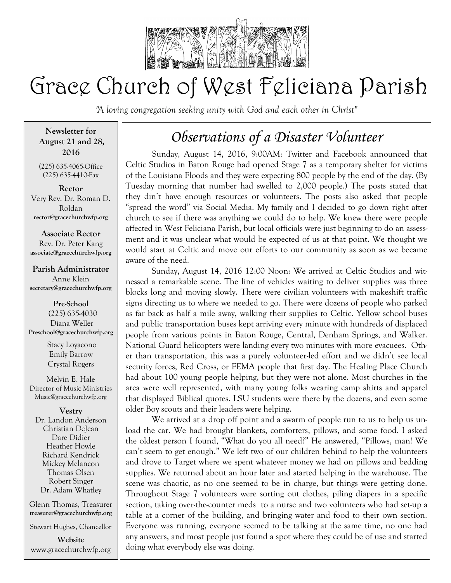

# Grace Church of West Feliciana Parish

*"A loving congregation seeking unity with God and each other in Christ"* 

**Newsletter for August 21 and 28, 2016**

(225) 635-4065-Office (225) 635-4410-Fax

**Rector** Very Rev. Dr. Roman D. Roldan **rector@gracechurchwfp.org**

**Associate Rector** Rev. Dr. Peter Kang **associate@gracechurchwfp.org**

## **Parish Administrator**

Anne Klein **secretary@gracechurchwfp.org**

**Pre-School** (225) 635-4030 Diana Weller **Preschool@gracechurchwfp.org** 

> Stacy Loyacono Emily Barrow Crystal Rogers

Melvin E. Hale Director of Music Ministries Music@gracechurchwfp.org

**Vestry**

Dr. Landon Anderson Christian DeJean Dare Didier Heather Howle Richard Kendrick Mickey Melancon Thomas Olsen Robert Singer Dr. Adam Whatley

Glenn Thomas, Treasurer **treasurer@gracechurchwfp.org**

Stewart Hughes, Chancellor

**Website**  www.gracechurchwfp.org

## *Observations of a Disaster Volunteer*

Sunday, August 14, 2016, 9:00AM: Twitter and Facebook announced that Celtic Studios in Baton Rouge had opened Stage 7 as a temporary shelter for victims of the Louisiana Floods and they were expecting 800 people by the end of the day. (By Tuesday morning that number had swelled to 2,000 people.) The posts stated that they din't have enough resources or volunteers. The posts also asked that people "spread the word" via Social Media. My family and I decided to go down right after church to see if there was anything we could do to help. We knew there were people affected in West Feliciana Parish, but local officials were just beginning to do an assessment and it was unclear what would be expected of us at that point. We thought we would start at Celtic and move our efforts to our community as soon as we became aware of the need.

Sunday, August 14, 2016 12:00 Noon: We arrived at Celtic Studios and witnessed a remarkable scene. The line of vehicles waiting to deliver supplies was three blocks long and moving slowly. There were civilian volunteers with makeshift traffic signs directing us to where we needed to go. There were dozens of people who parked as far back as half a mile away, walking their supplies to Celtic. Yellow school buses and public transportation buses kept arriving every minute with hundreds of displaced people from various points in Baton Rouge, Central, Denham Springs, and Walker. National Guard helicopters were landing every two minutes with more evacuees. Other than transportation, this was a purely volunteer-led effort and we didn't see local security forces, Red Cross, or FEMA people that first day. The Healing Place Church had about 100 young people helping, but they were not alone. Most churches in the area were well represented, with many young folks wearing camp shirts and apparel that displayed Biblical quotes. LSU students were there by the dozens, and even some older Boy scouts and their leaders were helping.

We arrived at a drop off point and a swarm of people run to us to help us unload the car. We had brought blankets, comforters, pillows, and some food. I asked the oldest person I found, "What do you all need?" He answered, "Pillows, man! We can't seem to get enough." We left two of our children behind to help the volunteers and drove to Target where we spent whatever money we had on pillows and bedding supplies. We returned about an hour later and started helping in the warehouse. The scene was chaotic, as no one seemed to be in charge, but things were getting done. Throughout Stage 7 volunteers were sorting out clothes, piling diapers in a specific section, taking over-the-counter meds to a nurse and two volunteers who had set-up a table at a corner of the building, and bringing water and food to their own section. Everyone was running, everyone seemed to be talking at the same time, no one had any answers, and most people just found a spot where they could be of use and started doing what everybody else was doing.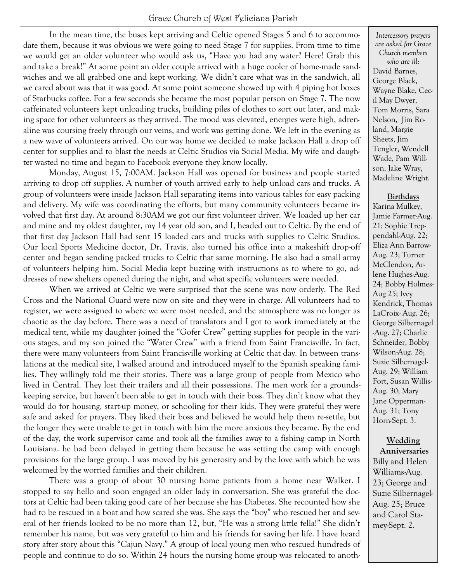In the mean time, the buses kept arriving and Celtic opened Stages 5 and 6 to accommodate them, because it was obvious we were going to need Stage 7 for supplies. From time to time we would get an older volunteer who would ask us, "Have you had any water? Here! Grab this and take a break!" At some point an older couple arrived with a huge cooler of home-made sandwiches and we all grabbed one and kept working. We didn't care what was in the sandwich, all we cared about was that it was good. At some point someone showed up with 4 piping hot boxes of Starbucks coffee. For a few seconds she became the most popular person on Stage 7. The now caffeinated volunteers kept unloading trucks, building piles of clothes to sort out later, and making space for other volunteers as they arrived. The mood was elevated, energies were high, adrenaline was coursing freely through our veins, and work was getting done. We left in the evening as a new wave of volunteers arrived. On our way home we decided to make Jackson Hall a drop off center for supplies and to blast the needs at Celtic Studios via Social Media. My wife and daughter wasted no time and began to Facebook everyone they know locally.

Monday, August 15, 7:00AM. Jackson Hall was opened for business and people started arriving to drop off supplies. A number of youth arrived early to help unload cars and trucks. A group of volunteers were inside Jackson Hall separating items into various tables for easy packing and delivery. My wife was coordinating the efforts, but many community volunteers became involved that first day. At around 8:30AM we got our first volunteer driver. We loaded up her car and mine and my oldest daughter, my 14 year old son, and I, headed out to Celtic. By the end of that first day Jackson Hall had sent 15 loaded cars and trucks with supplies to Celtic Studios. Our local Sports Medicine doctor, Dr. Travis, also turned his office into a makeshift drop-off center and began sending packed trucks to Celtic that same morning. He also had a small army of volunteers helping him. Social Media kept buzzing with instructions as to where to go, addresses of new shelters opened during the night, and what specific volunteers were needed.

When we arrived at Celtic we were surprised that the scene was now orderly. The Red Cross and the National Guard were now on site and they were in charge. All volunteers had to register, we were assigned to where we were most needed, and the atmosphere was no longer as chaotic as the day before. There was a need of translators and I got to work immediately at the medical tent, while my daughter joined the "Gofer Crew" getting supplies for people in the various stages, and my son joined the "Water Crew" with a friend from Saint Francisville. In fact, there were many volunteers from Saint Francisville working at Celtic that day. In between translations at the medical site, I walked around and introduced myself to the Spanish speaking families. They willingly told me their stories. There was a large group of people from Mexico who lived in Central. They lost their trailers and all their possessions. The men work for a groundskeeping service, but haven't been able to get in touch with their boss. They din't know what they would do for housing, start-up money, or schooling for their kids. They were grateful they were safe and asked for prayers. They liked their boss and believed he would help them re-settle, but the longer they were unable to get in touch with him the more anxious they became. By the end of the day, the work supervisor came and took all the families away to a fishing camp in North Louisiana. he had been delayed in getting them because he was setting the camp with enough provisions for the large group. I was moved by his generosity and by the love with which he was welcomed by the worried families and their children.

There was a group of about 30 nursing home patients from a home near Walker. I stopped to say hello and soon engaged an older lady in conversation. She was grateful the doctors at Celtic had been taking good care of her because she has Diabetes. She recounted how she had to be rescued in a boat and how scared she was. She says the "boy" who rescued her and several of her friends looked to be no more than 12, but, "He was a strong little fella!" She didn't remember his name, but was very grateful to him and his friends for saving her life. I have heard story after story about this "Cajun Navy." A group of local young men who rescued hundreds of people and continue to do so. Within 24 hours the nursing home group was relocated to anoth-

*Intercessory prayers are asked for Grace Church members who are ill*: David Barnes, George Black, Wayne Blake, Cecil May Dwyer, Tom Morris, Sara Nelson, Jim Roland, Margie Sheets, Jim Tengler, Wendell Wade, Pam Willson, Jake Wray, Madeline Wright.

#### **Birthdays**

Karina Mulkey, Jamie Farmer-Aug. 21; Sophie Treppendahl-Aug. 22; Eliza Ann Barrow-Aug. 23; Turner McClendon, Arlene Hughes-Aug. 24; Bobby Holmes-Aug 25; Ivey Kendrick, Thomas LaCroix- Aug. 26; George Silbernagel -Aug. 27; Charlie Schneider, Bobby Wilson-Aug. 28; Suzie Silbernagel-Aug. 29; William Fort, Susan Willis-Aug. 30; Mary Jane Opperman-Aug. 31; Tony Horn-Sept. 3.

### **Wedding**

**Anniversaries** Billy and Helen Williams-Aug. 23; George and Suzie Silbernagel-Aug. 25; Bruce and Carol Stamey-Sept. 2.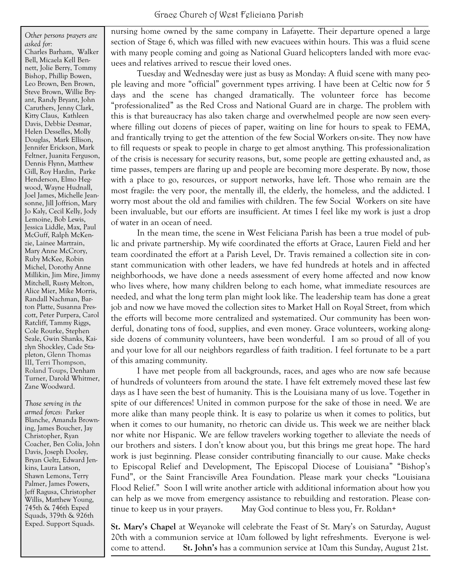*Other persons prayers are asked for:* Charles Barham, Walker Bell, Micaela Kell Bennett, Jolie Berry, Tommy Bishop, Phillip Bowen, Leo Brown, Ben Brown, Steve Brown, Willie Bryant, Randy Bryant, John Caruthers, Jenny Clark, Kitty Claus, Kathleen Davis, Debbie Desmar, Helen Desselles, Molly Douglas, Mark Ellison, Jennifer Erickson, Mark Feltner, Juanita Ferguson, Dennis Flynn, Matthew Gill, Roy Hardin, Parke Henderson, Elmo Hegwood, Wayne Hudnall, Joel James, Michelle Jeansonne, Jill Joffrion, Mary Jo Kaly, Cecil Kelly, Jody Lemoine, Bob Lewis, Jessica Liddle, Max, Paul McGuff, Ralph McKenzie, Lainee Martrain, Mary Anne McCrory, Ruby McKee, Robin Michel, Dorothy Anne Millikin, Jim Mire, Jimmy Mitchell, Rusty Melton, Alice Mier, Mike Morris, Randall Nachman, Barton Platte, Susanna Prescott, Peter Purpera, Carol Ratcliff, Tammy Riggs, Cole Rourke, Stephen Seale, Gwin Shanks, Kaizlyn Shockley, Cade Stapleton, Glenn Thomas III, Terri Thompson, Roland Toups, Denham Turner, Darold Whitmer, Zane Woodward.

*Those serving in the armed forces*: Parker Blanche, Amanda Browning, James Boucher, Jay Christopher, Ryan Coacher, Ben Colia, John Davis, Joseph Dooley, Bryan Geltz, Edward Jenkins, Laura Latson, Shawn Lemons, Terry Palmer, James Powers, Jeff Ragusa, Christopher Willis, Matthew Young, 745th & 746th Exped Squads, 379th & 926th Exped. Support Squads.

nursing home owned by the same company in Lafayette. Their departure opened a large section of Stage 6, which was filled with new evacuees within hours. This was a fluid scene with many people coming and going as National Guard helicopters landed with more evacuees and relatives arrived to rescue their loved ones.

Tuesday and Wednesday were just as busy as Monday: A fluid scene with many people leaving and more "official" government types arriving. I have been at Celtic now for 5 days and the scene has changed dramatically. The volunteer force has become "professionalized" as the Red Cross and National Guard are in charge. The problem with this is that bureaucracy has also taken charge and overwhelmed people are now seen everywhere filling out dozens of pieces of paper, waiting on line for hours to speak to FEMA, and frantically trying to get the attention of the few Social Workers on-site. They now have to fill requests or speak to people in charge to get almost anything. This professionalization of the crisis is necessary for security reasons, but, some people are getting exhausted and, as time passes, tempers are flaring up and people are becoming more desperate. By now, those with a place to go, resources, or support networks, have left. Those who remain are the most fragile: the very poor, the mentally ill, the elderly, the homeless, and the addicted. I worry most about the old and families with children. The few Social Workers on site have been invaluable, but our efforts are insufficient. At times I feel like my work is just a drop of water in an ocean of need.

In the mean time, the scene in West Feliciana Parish has been a true model of public and private partnership. My wife coordinated the efforts at Grace, Lauren Field and her team coordinated the effort at a Parish Level, Dr. Travis remained a collection site in constant communication with other leaders, we have fed hundreds at hotels and in affected neighborhoods, we have done a needs assessment of every home affected and now know who lives where, how many children belong to each home, what immediate resources are needed, and what the long term plan might look like. The leadership team has done a great job and now we have moved the collection sites to Market Hall on Royal Street, from which the efforts will become more centralized and systematized. Our community has been wonderful, donating tons of food, supplies, and even money. Grace volunteers, working alongside dozens of community volunteers, have been wonderful. I am so proud of all of you and your love for all our neighbors regardless of faith tradition. I feel fortunate to be a part of this amazing community.

I have met people from all backgrounds, races, and ages who are now safe because of hundreds of volunteers from around the state. I have felt extremely moved these last few days as I have seen the best of humanity. This is the Louisiana many of us love. Together in spite of our differences! United in common purpose for the sake of those in need. We are more alike than many people think. It is easy to polarize us when it comes to politics, but when it comes to our humanity, no rhetoric can divide us. This week we are neither black nor white nor Hispanic. We are fellow travelers working together to alleviate the needs of our brothers and sisters. I don't know about you, but this brings me great hope. The hard work is just beginning. Please consider contributing financially to our cause. Make checks to Episcopal Relief and Development, The Episcopal Diocese of Louisiana" "Bishop's Fund", or the Saint Francisville Area Foundation. Please mark your checks "Louisiana Flood Relief." Soon I will write another article with additional information about how you can help as we move from emergency assistance to rebuilding and restoration. Please continue to keep us in your prayers. May God continue to bless you, Fr. Roldan+

**St. Mary's Chapel** at Weyanoke will celebrate the Feast of St. Mary's on Saturday, August 20th with a communion service at 10am followed by light refreshments. Everyone is welcome to attend. **St. John's** has a communion service at 10am this Sunday, August 21st.